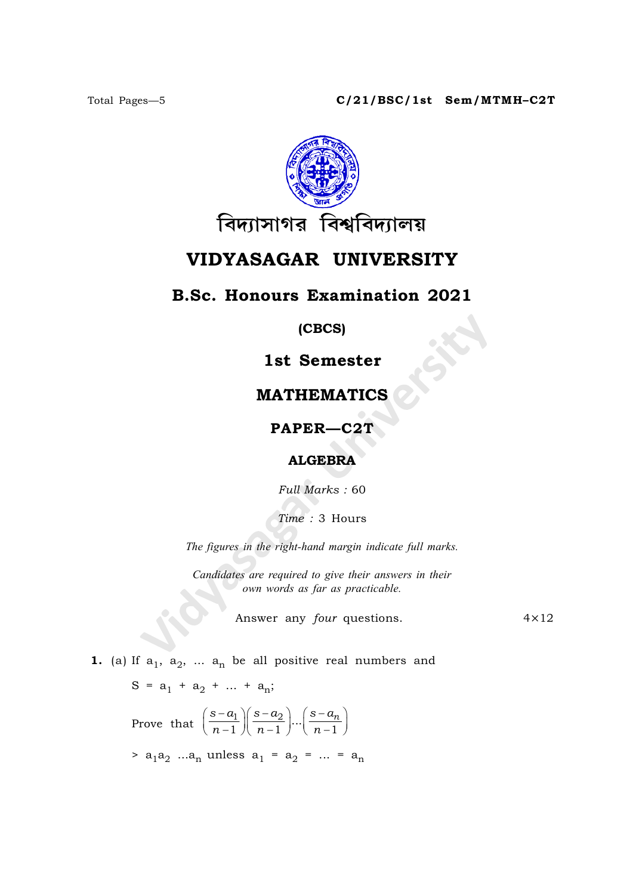

# VIDYASAGAR UNIVERSITY

### **B.Sc. Honours Examination 2021**

 $(CBCS)$ 

## 1st Semester

### **MATHEMATICS**

### PAPER-C2T

#### **ALGEBRA**

Full Marks: 60

Time: 3 Hours

The figures in the right-hand margin indicate full marks.

Candidates are required to give their answers in their own words as far as practicable.

Answer any four questions.

 $4 \times 12$ 

1. (a) If  $a_1$ ,  $a_2$ , ...  $a_n$  be all positive real numbers and

$$
S = a_1 + a_2 + \dots + a_n;
$$

Prove that  $\left(\frac{s-a_1}{n-1}\right)\left(\frac{s-a_2}{n-1}\right)\dots\left(\frac{s-a_n}{n-1}\right)$ 

>  $a_1a_2$  ...a<sub>n</sub> unless  $a_1 = a_2 = ... = a_n$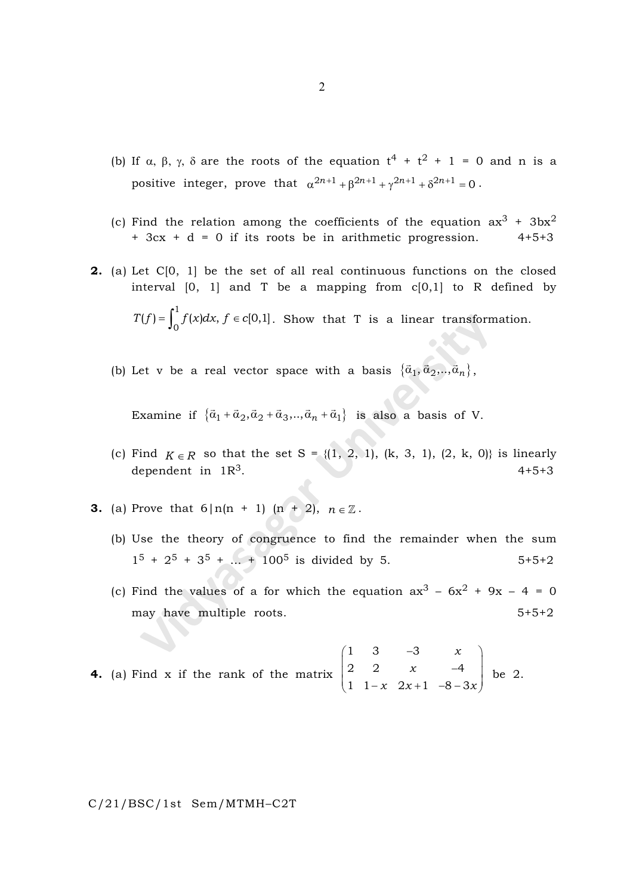- (b) If  $\alpha$ ,  $\beta$ ,  $\gamma$ ,  $\delta$  are the roots of the equation  $t^4 + t^2 + 1 = 0$  and n is a positive integer, prove that  $\alpha^{2n+1} + \beta^{2n+1} + \gamma^{2n+1} + \delta^{2n+1} = 0$ .
- (c) Find the relation among the coefficients of the equation  $ax^3 + 3bx^2$ + 3cx + d = 0 if its roots be in arithmetic progression. 4+5+3
- 2. (a) Let C[0, 1] be the set of all real continuous functions on the closed interval  $[0, 1]$  and T be a mapping from  $c[0,1]$  to R defined by  $T(f) = \int_{a}^{1} f(x)dx, f \in c$  $\mathcal{E}(f) = \int_0^1 f(x) dx, f \in c[0,1]$ . Show that T is a linear transformation.
	- (b) Let v be a real vector space with a basis  $\{\vec{\alpha}_1, \vec{\alpha}_2, ..., \vec{\alpha}_n\}$ ,

Examine if  $\{\vec{a}_1 + \vec{a}_2, \vec{a}_2 + \vec{a}_3, \dots, \vec{a}_n + \vec{a}_1\}$  is also a basis of V.

- (c) Find  $K \in \mathbb{R}$  so that the set S = {(1, 2, 1), (k, 3, 1), (2, k, 0)} is linearly dependent in  $1R^3$ . 4+5+3
- **3.** (a) Prove that  $6|n(n + 1)(n + 2), n \in \mathbb{Z}$ .
	- (b) Use the theory of congruence to find the remainder when the sum  $1^5 + 2^5 + 3^5 + \dots + 100^5$  is divided by 5.  $5+5+2$
	- (c) Find the values of a for which the equation  $ax^3 6x^2 + 9x 4 = 0$ may have multiple roots. 5+5+2

**4.** (a) Find x if the rank of the matrix 
$$
\begin{pmatrix} 1 & 3 & -3 & x \\ 2 & 2 & x & -4 \\ 1 & 1-x & 2x+1 & -8-3x \end{pmatrix}
$$
 be 2.

C/21/BSC/1st Sem/MTMH–C2T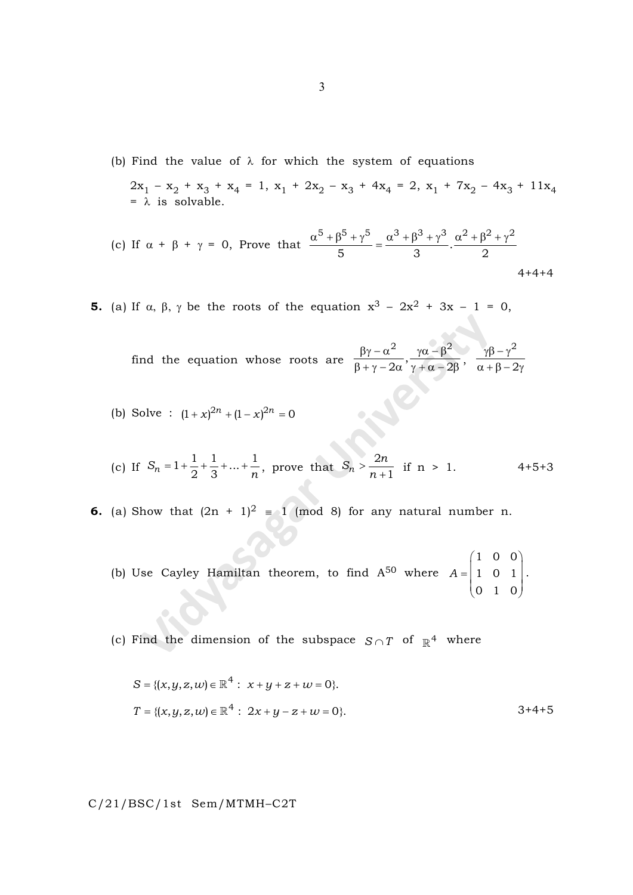(b) Find the value of  $\lambda$  for which the system of equations

 $2x_1 - x_2 + x_3 + x_4 = 1$ ,  $x_1 + 2x_2 - x_3 + 4x_4 = 2$ ,  $x_1 + 7x_2 - 4x_3 + 11x_4$  $= \lambda$  is solvable.

(c) If 
$$
\alpha + \beta + \gamma = 0
$$
, Prove that 
$$
\frac{\alpha^5 + \beta^5 + \gamma^5}{5} = \frac{\alpha^3 + \beta^3 + \gamma^3}{3} \cdot \frac{\alpha^2 + \beta^2 + \gamma^2}{2}
$$
4+4+4

**5.** (a) If  $\alpha$ ,  $\beta$ ,  $\gamma$  be the roots of the equation  $x^3 - 2x^2 + 3x - 1 = 0$ ,

find the equation whose roots are 2  $\omega$   $\beta^2$ ,  $2\alpha \gamma + \alpha - 2$  $\beta \gamma - \alpha^2$   $\gamma \alpha - \beta$  $\frac{1}{\beta + \gamma - 2\alpha}, \frac{1}{\gamma + \alpha - 2\beta},$ 2 2  $\gamma \beta - \gamma$  $\alpha + \beta - 2\gamma$ 

(b) Solve :  $(1 + x)^{2n} + (1 - x)^{2n} = 0$ 

(c) If 
$$
S_n = 1 + \frac{1}{2} + \frac{1}{3} + ... + \frac{1}{n}
$$
, prove that  $S_n > \frac{2n}{n+1}$  if  $n > 1$ . 4+5+3

- **6.** (a) Show that  $(2n + 1)^2 = 1$  (mod 8) for any natural number n.
	- (b) Use Cayley Hamiltan theorem, to find  $A^{50}$  where A 1 0 0 1 0 1 0 1 0  $= \begin{pmatrix} 1 & 0 & 0 \\ 1 & 0 & 1 \\ 0 & 1 & 0 \end{pmatrix}.$

(c) Find the dimension of the subspace  $S \cap T$  of  $\mathbb{R}^4$  where

$$
S = \{(x, y, z, w) \in \mathbb{R}^4 : x + y + z + w = 0\}.
$$
  
\n
$$
T = \{(x, y, z, w) \in \mathbb{R}^4 : 2x + y - z + w = 0\}.
$$
  
\n
$$
3 + 4 + 5 = 0
$$

C/21/BSC/1st Sem/MTMH–C2T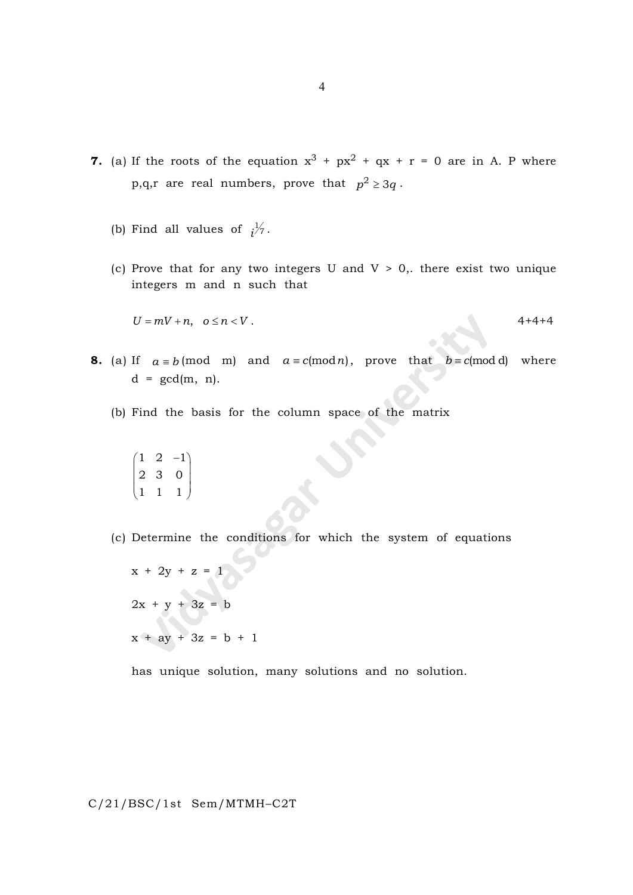- 7. (a) If the roots of the equation  $x^3 + px^2 + qx + r = 0$  are in A. P where p,q,r are real numbers, prove that  $p^2 \geq 3q$ .
	- (b) Find all values of  $i^{\frac{1}{7}}$ .
	- (c) Prove that for any two integers U and  $V > 0$ , there exist two unique integers m and n such that

$$
U = mV + n, \quad o \le n < V \tag{4+4+4}
$$

- **8.** (a) If  $a \equiv b \pmod{m}$  and  $a \equiv c \pmod{n}$ , prove that  $b \equiv c \pmod{d}$  where  $d = \gcd(m, n)$ .
	- (b) Find the basis for the column space of the matrix

$$
\begin{pmatrix} 1 & 2 & -1 \\ 2 & 3 & 0 \\ 1 & 1 & 1 \end{pmatrix}
$$

(c) Determine the conditions for which the system of equations

$$
x + 2y + z = 1
$$
  

$$
2x + y + 3z = b
$$
  

$$
x + ay + 3z = b + 1
$$

has unique solution, many solutions and no solution.